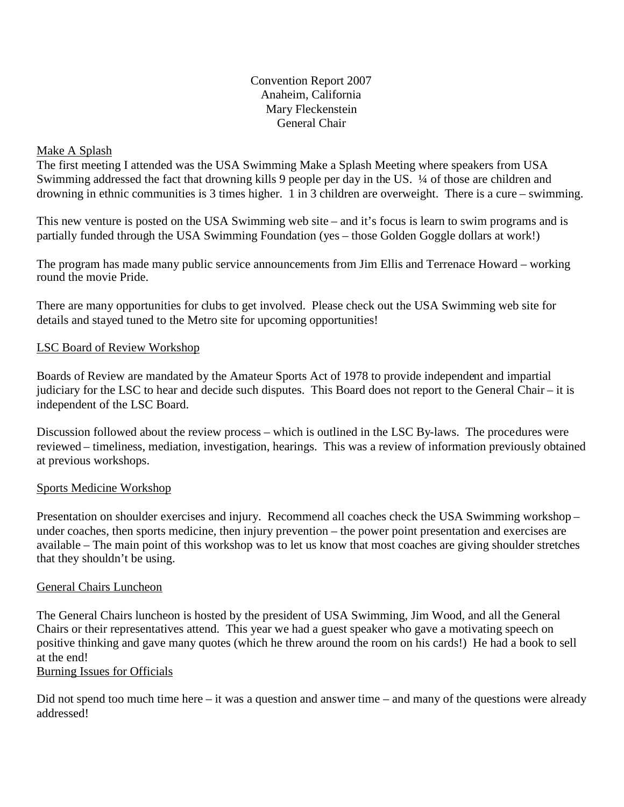Convention Report 2007 Anaheim, California Mary Fleckenstein General Chair

# Make A Splash

The first meeting I attended was the USA Swimming Make a Splash Meeting where speakers from USA Swimming addressed the fact that drowning kills 9 people per day in the US. ¼ of those are children and drowning in ethnic communities is 3 times higher. 1 in 3 children are overweight. There is a cure – swimming.

This new venture is posted on the USA Swimming web site – and it's focus is learn to swim programs and is partially funded through the USA Swimming Foundation (yes – those Golden Goggle dollars at work!)

The program has made many public service announcements from Jim Ellis and Terrenace Howard – working round the movie Pride.

There are many opportunities for clubs to get involved. Please check out the USA Swimming web site for details and stayed tuned to the Metro site for upcoming opportunities!

# LSC Board of Review Workshop

Boards of Review are mandated by the Amateur Sports Act of 1978 to provide independent and impartial judiciary for the LSC to hear and decide such disputes. This Board does not report to the General Chair – it is independent of the LSC Board.

Discussion followed about the review process – which is outlined in the LSC By-laws. The procedures were reviewed – timeliness, mediation, investigation, hearings. This was a review of information previously obtained at previous workshops.

#### Sports Medicine Workshop

Presentation on shoulder exercises and injury. Recommend all coaches check the USA Swimming workshop – under coaches, then sports medicine, then injury prevention – the power point presentation and exercises are available – The main point of this workshop was to let us know that most coaches are giving shoulder stretches that they shouldn't be using.

#### General Chairs Luncheon

The General Chairs luncheon is hosted by the president of USA Swimming, Jim Wood, and all the General Chairs or their representatives attend. This year we had a guest speaker who gave a motivating speech on positive thinking and gave many quotes (which he threw around the room on his cards!) He had a book to sell at the end!

# Burning Issues for Officials

Did not spend too much time here – it was a question and answer time – and many of the questions were already addressed!